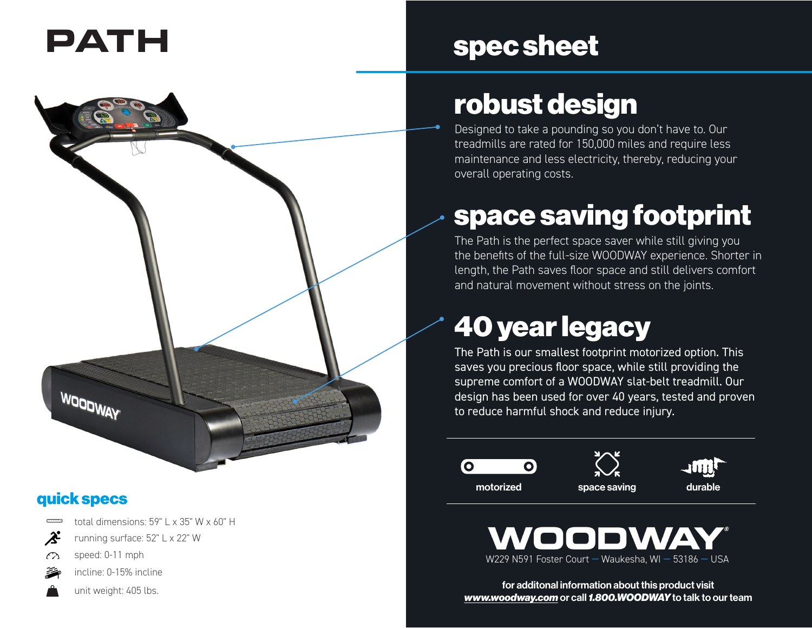

## quick specs

total dimensions: 59" L x 35" W x 60" H

- $\boldsymbol{\hat{\mathcal{Z}}^2}$ running surface: 52" L x 22" W
- speed: 0-11 mph  $\curvearrowright$



unit weight: 405 lbs.

## **\$** PATH spec sheet

## robust design

Designed to take a pounding so you don't have to. Our treadmills are rated for 150,000 miles and require less maintenance and less electricity, thereby, reducing your overall operating costs.

# space saving footprint

The Path is the perfect space saver while still giving you the benefits of the full-size WOODWAY experience. Shorter in length, the Path saves floor space and still delivers comfort and natural movement without stress on the joints.

# 40 year legacy

The Path is our smallest footprint motorized option. This saves you precious floor space, while still providing the supreme comfort of a WOODWAY slat-belt treadmill. Our design has been used for over 40 years, tested and proven to reduce harmful shock and reduce injury.





for additonal information about this product visit *www.woodway.com* or call *1.800.WOODWAY* to talk to our team